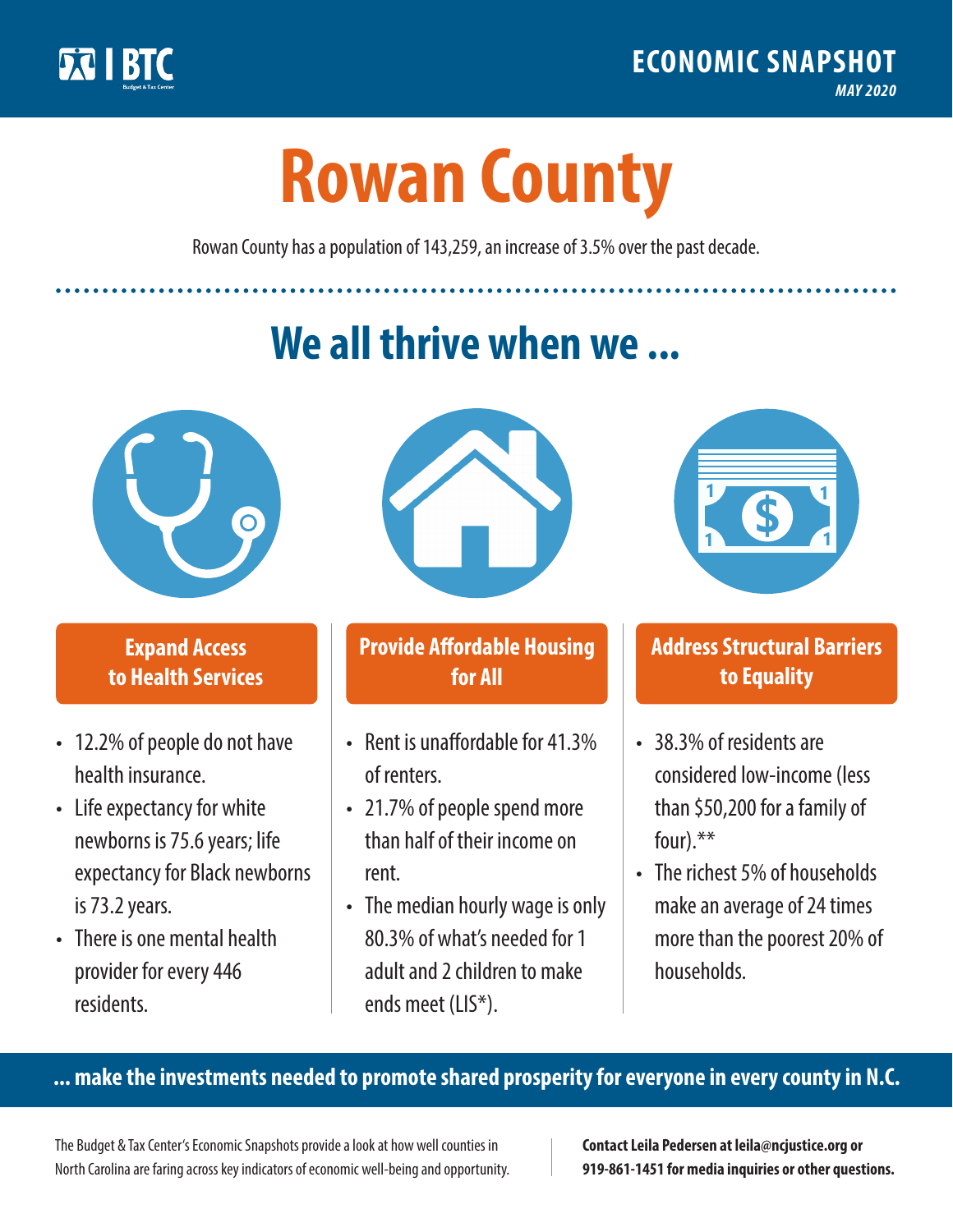

**1**

# **Rowan County**

Rowan County has a population of 143,259, an increase of 3.5% over the past decade.

# **We all thrive when we ...**



**\$ <sup>1</sup>**

**\$ <sup>1</sup>**

#### **Expand Access to Health Services**

- 12.2% of people do not have health insurance.
- Life expectancy for white newborns is 75.6years; life expectancy for Black newborns is 73.2years.
- There is one mental health provider for every 446 residents.



## **Provide Affordable Housing for All**

- Rent is unaffordable for 41.3% of renters.
- 21.7% of people spend more than half of their income on rent.
- The median hourly wage is only 80.3% of what's needed for 1 adult and 2 children to make ends meet (LIS\*).



## **Address Structural Barriers to Equality**

- 38.3% of residents are considered low-income (less than \$50,200 for a family of four).\*\*
- The richest 5% of households make an average of 24 times more than the poorest 20% of households.

#### **... make the investments needed to promote shared prosperity for everyone in every county in N.C.**

The Budget & Tax Center's Economic Snapshots provide a look at how well counties in North Carolina are faring across key indicators of economic well-being and opportunity.